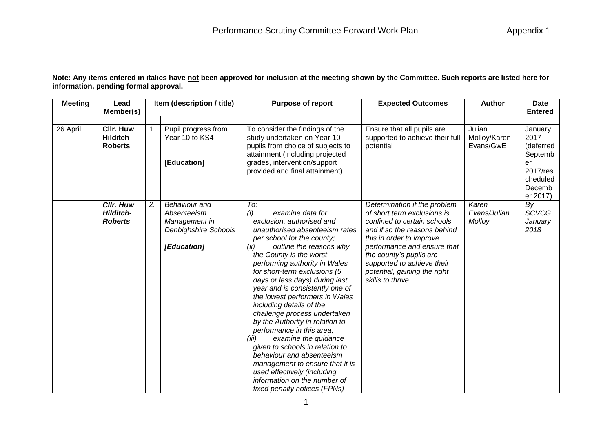**Note: Any items entered in italics have not been approved for inclusion at the meeting shown by the Committee. Such reports are listed here for information, pending formal approval.**

| <b>Meeting</b> | Lead                                                   |    | Item (description / title)                                                                  | <b>Purpose of report</b>                                                                                                                                                                                                                                                                                                                                                                                                                                                                                                                                                                                                                                                                                                         | <b>Author</b>                                                                                                                                                                                                                                                                                      | Date                                |                                                                                             |
|----------------|--------------------------------------------------------|----|---------------------------------------------------------------------------------------------|----------------------------------------------------------------------------------------------------------------------------------------------------------------------------------------------------------------------------------------------------------------------------------------------------------------------------------------------------------------------------------------------------------------------------------------------------------------------------------------------------------------------------------------------------------------------------------------------------------------------------------------------------------------------------------------------------------------------------------|----------------------------------------------------------------------------------------------------------------------------------------------------------------------------------------------------------------------------------------------------------------------------------------------------|-------------------------------------|---------------------------------------------------------------------------------------------|
|                | Member(s)                                              |    |                                                                                             |                                                                                                                                                                                                                                                                                                                                                                                                                                                                                                                                                                                                                                                                                                                                  |                                                                                                                                                                                                                                                                                                    |                                     | <b>Entered</b>                                                                              |
| 26 April       | Cllr. Huw<br><b>Hilditch</b><br><b>Roberts</b>         | 1. | Pupil progress from<br>Year 10 to KS4<br>[Education]                                        | To consider the findings of the<br>study undertaken on Year 10<br>pupils from choice of subjects to<br>attainment (including projected<br>grades, intervention/support<br>provided and final attainment)                                                                                                                                                                                                                                                                                                                                                                                                                                                                                                                         | Ensure that all pupils are<br>supported to achieve their full<br>potential                                                                                                                                                                                                                         | Julian<br>Molloy/Karen<br>Evans/GwE | January<br>2017<br>(deferred<br>Septemb<br>er<br>2017/res<br>cheduled<br>Decemb<br>er 2017) |
|                | <b>CIIr. Huw</b><br><b>Hilditch-</b><br><b>Roberts</b> | 2. | <b>Behaviour</b> and<br>Absenteeism<br>Management in<br>Denbighshire Schools<br>[Education] | To:<br>(i)<br>examine data for<br>exclusion, authorised and<br>unauthorised absenteeism rates<br>per school for the county;<br>outline the reasons why<br>(ii)<br>the County is the worst<br>performing authority in Wales<br>for short-term exclusions (5<br>days or less days) during last<br>year and is consistently one of<br>the lowest performers in Wales<br>including details of the<br>challenge process undertaken<br>by the Authority in relation to<br>performance in this area;<br>examine the guidance<br>(iii)<br>given to schools in relation to<br>behaviour and absenteeism<br>management to ensure that it is<br>used effectively (including<br>information on the number of<br>fixed penalty notices (FPNs) | Determination if the problem<br>of short term exclusions is<br>confined to certain schools<br>and if so the reasons behind<br>this in order to improve<br>performance and ensure that<br>the county's pupils are<br>supported to achieve their<br>potential, gaining the right<br>skills to thrive | Karen<br>Evans/Julian<br>Molloy     | By<br><b>SCVCG</b><br>January<br>2018                                                       |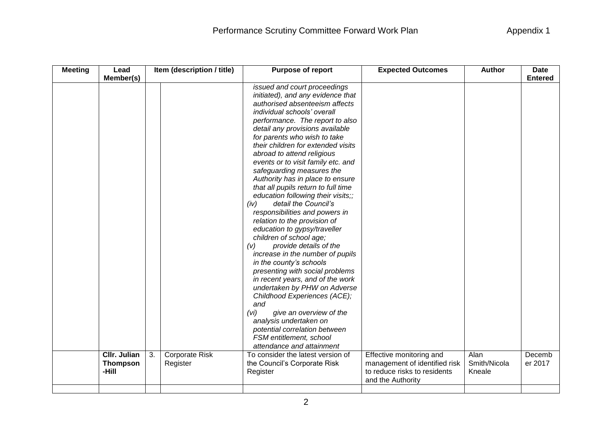| <b>Meeting</b> | Item (description / title)<br>Lead              |    |                                   | Purpose of report                                                                                                                                                                                                                                                                                                                                                                                                                                                                                                                                                                                                                                                                                                                                                                                                                                                                                                                                                                                                                    | <b>Expected Outcomes</b>                                                                                       | <b>Author</b>                  | <b>Date</b>       |  |
|----------------|-------------------------------------------------|----|-----------------------------------|--------------------------------------------------------------------------------------------------------------------------------------------------------------------------------------------------------------------------------------------------------------------------------------------------------------------------------------------------------------------------------------------------------------------------------------------------------------------------------------------------------------------------------------------------------------------------------------------------------------------------------------------------------------------------------------------------------------------------------------------------------------------------------------------------------------------------------------------------------------------------------------------------------------------------------------------------------------------------------------------------------------------------------------|----------------------------------------------------------------------------------------------------------------|--------------------------------|-------------------|--|
|                | Member(s)                                       |    |                                   |                                                                                                                                                                                                                                                                                                                                                                                                                                                                                                                                                                                                                                                                                                                                                                                                                                                                                                                                                                                                                                      |                                                                                                                |                                | <b>Entered</b>    |  |
|                |                                                 |    |                                   | issued and court proceedings<br>initiated), and any evidence that<br>authorised absenteeism affects<br>individual schools' overall<br>performance. The report to also<br>detail any provisions available<br>for parents who wish to take<br>their children for extended visits<br>abroad to attend religious<br>events or to visit family etc. and<br>safeguarding measures the<br>Authority has in place to ensure<br>that all pupils return to full time<br>education following their visits;;<br>detail the Council's<br>(iv)<br>responsibilities and powers in<br>relation to the provision of<br>education to gypsy/traveller<br>children of school age;<br>provide details of the<br>(v)<br>increase in the number of pupils<br>in the county's schools<br>presenting with social problems<br>in recent years, and of the work<br>undertaken by PHW on Adverse<br>Childhood Experiences (ACE);<br>and<br>(vi)<br>give an overview of the<br>analysis undertaken on<br>potential correlation between<br>FSM entitlement, school |                                                                                                                |                                |                   |  |
|                |                                                 |    |                                   | attendance and attainment                                                                                                                                                                                                                                                                                                                                                                                                                                                                                                                                                                                                                                                                                                                                                                                                                                                                                                                                                                                                            |                                                                                                                |                                |                   |  |
|                | <b>CIIr. Julian</b><br><b>Thompson</b><br>-Hill | 3. | <b>Corporate Risk</b><br>Register | To consider the latest version of<br>the Council's Corporate Risk<br>Register                                                                                                                                                                                                                                                                                                                                                                                                                                                                                                                                                                                                                                                                                                                                                                                                                                                                                                                                                        | Effective monitoring and<br>management of identified risk<br>to reduce risks to residents<br>and the Authority | Alan<br>Smith/Nicola<br>Kneale | Decemb<br>er 2017 |  |
|                |                                                 |    |                                   |                                                                                                                                                                                                                                                                                                                                                                                                                                                                                                                                                                                                                                                                                                                                                                                                                                                                                                                                                                                                                                      |                                                                                                                |                                |                   |  |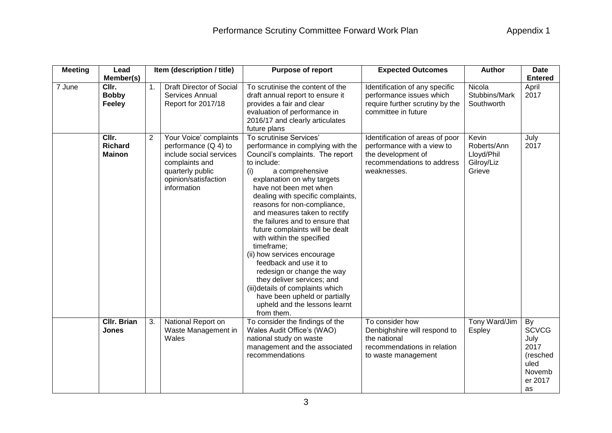| <b>Meeting</b> | Item (description / title)<br><b>Purpose of report</b><br>Lead<br>Member(s) |                | <b>Expected Outcomes</b>                                                                                                                                 | <b>Author</b>                                                                                                                                                                                                                                                                                                                                                                                                                                                                                                                                                                                                                                                     | <b>Date</b><br><b>Entered</b>                                                                                                    |                                                            |                                                                                   |
|----------------|-----------------------------------------------------------------------------|----------------|----------------------------------------------------------------------------------------------------------------------------------------------------------|-------------------------------------------------------------------------------------------------------------------------------------------------------------------------------------------------------------------------------------------------------------------------------------------------------------------------------------------------------------------------------------------------------------------------------------------------------------------------------------------------------------------------------------------------------------------------------------------------------------------------------------------------------------------|----------------------------------------------------------------------------------------------------------------------------------|------------------------------------------------------------|-----------------------------------------------------------------------------------|
| 7 June         | CIIr.<br><b>Bobby</b><br><b>Feeley</b>                                      | 1.             | Draft Director of Social<br>Services Annual<br>Report for 2017/18                                                                                        | To scrutinise the content of the<br>draft annual report to ensure it<br>provides a fair and clear<br>evaluation of performance in<br>2016/17 and clearly articulates<br>future plans                                                                                                                                                                                                                                                                                                                                                                                                                                                                              | Identification of any specific<br>performance issues which<br>require further scrutiny by the<br>committee in future             | Nicola<br>Stubbins/Mark<br>Southworth                      | April<br>2017                                                                     |
|                | CIIr.<br><b>Richard</b><br><b>Mainon</b>                                    | $\overline{2}$ | Your Voice' complaints<br>performance $(Q 4)$ to<br>include social services<br>complaints and<br>quarterly public<br>opinion/satisfaction<br>information | To scrutinise Services'<br>performance in complying with the<br>Council's complaints. The report<br>to include:<br>a comprehensive<br>(i)<br>explanation on why targets<br>have not been met when<br>dealing with specific complaints,<br>reasons for non-compliance,<br>and measures taken to rectify<br>the failures and to ensure that<br>future complaints will be dealt<br>with within the specified<br>timeframe;<br>(ii) how services encourage<br>feedback and use it to<br>redesign or change the way<br>they deliver services; and<br>(iii) details of complaints which<br>have been upheld or partially<br>upheld and the lessons learnt<br>from them. | Identification of areas of poor<br>performance with a view to<br>the development of<br>recommendations to address<br>weaknesses. | Kevin<br>Roberts/Ann<br>Lloyd/Phil<br>Gilroy/Liz<br>Grieve | July<br>2017                                                                      |
|                | <b>Cllr. Brian</b><br><b>Jones</b>                                          | 3.             | National Report on<br>Waste Management in<br>Wales                                                                                                       | To consider the findings of the<br>Wales Audit Office's (WAO)<br>national study on waste<br>management and the associated<br>recommendations                                                                                                                                                                                                                                                                                                                                                                                                                                                                                                                      | To consider how<br>Denbighshire will respond to<br>the national<br>recommendations in relation<br>to waste management            | Tony Ward/Jim<br>Espley                                    | By<br><b>SCVCG</b><br>July<br>2017<br>(resched<br>uled<br>Novemb<br>er 2017<br>as |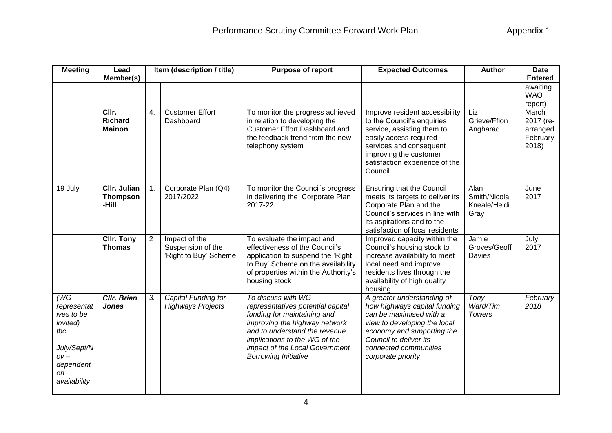| <b>Meeting</b>                                                                                                    | Lead<br>Member(s)                               |                | Item (description / title)                                  | Purpose of report                                                                                                                                                                                                                                          | <b>Author</b><br><b>Expected Outcomes</b>                                                                                                                                                                                    |                                              | <b>Date</b><br><b>Entered</b>                                                           |
|-------------------------------------------------------------------------------------------------------------------|-------------------------------------------------|----------------|-------------------------------------------------------------|------------------------------------------------------------------------------------------------------------------------------------------------------------------------------------------------------------------------------------------------------------|------------------------------------------------------------------------------------------------------------------------------------------------------------------------------------------------------------------------------|----------------------------------------------|-----------------------------------------------------------------------------------------|
|                                                                                                                   | CIIr.<br><b>Richard</b><br><b>Mainon</b>        | 4.             | <b>Customer Effort</b><br>Dashboard                         | To monitor the progress achieved<br>in relation to developing the<br><b>Customer Effort Dashboard and</b><br>the feedback trend from the new<br>telephony system                                                                                           | Improve resident accessibility<br>to the Council's enquiries<br>service, assisting them to<br>easily access required<br>services and consequent<br>improving the customer                                                    | Liz<br>Grieve/Ffion<br>Angharad              | awaiting<br><b>WAO</b><br>report)<br>March<br>2017 (re-<br>arranged<br>February<br>2018 |
|                                                                                                                   |                                                 |                |                                                             |                                                                                                                                                                                                                                                            | satisfaction experience of the<br>Council                                                                                                                                                                                    |                                              |                                                                                         |
| 19 July                                                                                                           | <b>Cllr. Julian</b><br><b>Thompson</b><br>-Hill | 1.             | Corporate Plan (Q4)<br>2017/2022                            | To monitor the Council's progress<br>in delivering the Corporate Plan<br>2017-22                                                                                                                                                                           | <b>Ensuring that the Council</b><br>meets its targets to deliver its<br>Corporate Plan and the<br>Council's services in line with<br>its aspirations and to the<br>satisfaction of local residents                           | Alan<br>Smith/Nicola<br>Kneale/Heidi<br>Gray | June<br>2017                                                                            |
|                                                                                                                   | <b>CIIr. Tony</b><br><b>Thomas</b>              | $\overline{2}$ | Impact of the<br>Suspension of the<br>'Right to Buy' Scheme | To evaluate the impact and<br>effectiveness of the Council's<br>application to suspend the 'Right<br>to Buy' Scheme on the availability<br>of properties within the Authority's<br>housing stock                                                           | Improved capacity within the<br>Council's housing stock to<br>increase availability to meet<br>local need and improve<br>residents lives through the<br>availability of high quality<br>housing                              | Jamie<br>Groves/Geoff<br>Davies              | July<br>2017                                                                            |
| $W$ G<br>representat<br>ives to be<br>invited)<br>tbc<br>July/Sept/N<br>$OV -$<br>dependent<br>on<br>availability | <b>Cllr. Brian</b><br><b>Jones</b>              | 3.             | Capital Funding for<br><b>Highways Projects</b>             | To discuss with WG<br>representatives potential capital<br>funding for maintaining and<br>improving the highway network<br>and to understand the revenue<br>implications to the WG of the<br>impact of the Local Government<br><b>Borrowing Initiative</b> | A greater understanding of<br>how highways capital funding<br>can be maximised with a<br>view to developing the local<br>economy and supporting the<br>Council to deliver its<br>connected communities<br>corporate priority | Tony<br>Ward/Tim<br><b>Towers</b>            | February<br>2018                                                                        |
|                                                                                                                   |                                                 |                |                                                             |                                                                                                                                                                                                                                                            |                                                                                                                                                                                                                              |                                              |                                                                                         |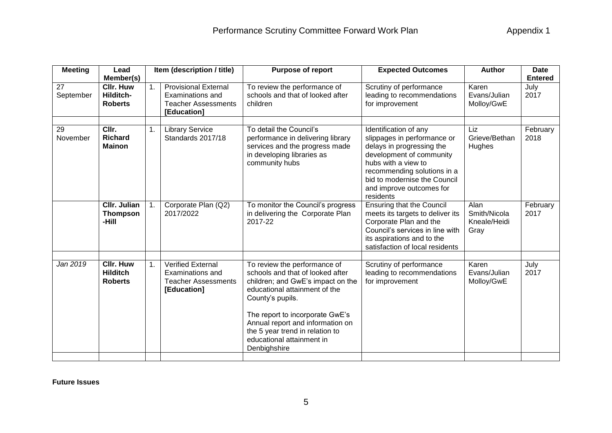| <b>Meeting</b>  | Item (description / title)<br><b>Purpose of report</b><br>Lead<br>Member(s)                                                                |    | <b>Expected Outcomes</b>                                                                          | <b>Author</b>                                                                                                                                                                                                                                                                                                     | <b>Date</b><br><b>Entered</b>                                                                                                                                                                      |                                              |                  |
|-----------------|--------------------------------------------------------------------------------------------------------------------------------------------|----|---------------------------------------------------------------------------------------------------|-------------------------------------------------------------------------------------------------------------------------------------------------------------------------------------------------------------------------------------------------------------------------------------------------------------------|----------------------------------------------------------------------------------------------------------------------------------------------------------------------------------------------------|----------------------------------------------|------------------|
| 27<br>September | <b>CIIr. Huw</b><br>Hilditch-<br><b>Roberts</b>                                                                                            | 1. | <b>Provisional External</b><br>Examinations and<br><b>Teacher Assessments</b><br>[Education]      | To review the performance of<br>schools and that of looked after<br>children                                                                                                                                                                                                                                      | Scrutiny of performance<br>leading to recommendations<br>for improvement                                                                                                                           | Karen<br>Evans/Julian<br>Molloy/GwE          | July<br>2017     |
| 29<br>November  | CIIr.<br><b>Library Service</b><br>To detail the Council's<br>1.<br><b>Richard</b><br>Standards 2017/18<br><b>Mainon</b><br>community hubs |    | performance in delivering library<br>services and the progress made<br>in developing libraries as | Identification of any<br>slippages in performance or<br>delays in progressing the<br>development of community<br>hubs with a view to<br>recommending solutions in a<br>bid to modernise the Council<br>and improve outcomes for<br>residents                                                                      | Liz<br>Grieve/Bethan<br>Hughes                                                                                                                                                                     | February<br>2018                             |                  |
|                 | <b>CIIr. Julian</b><br><b>Thompson</b><br>-Hill                                                                                            | 1. | Corporate Plan (Q2)<br>2017/2022                                                                  | To monitor the Council's progress<br>in delivering the Corporate Plan<br>2017-22                                                                                                                                                                                                                                  | <b>Ensuring that the Council</b><br>meets its targets to deliver its<br>Corporate Plan and the<br>Council's services in line with<br>its aspirations and to the<br>satisfaction of local residents | Alan<br>Smith/Nicola<br>Kneale/Heidi<br>Gray | February<br>2017 |
| Jan 2019        | <b>CIIr. Huw</b><br><b>Hilditch</b><br><b>Roberts</b>                                                                                      | 1. | Verified External<br>Examinations and<br><b>Teacher Assessments</b><br>[Education]                | To review the performance of<br>schools and that of looked after<br>children; and GwE's impact on the<br>educational attainment of the<br>County's pupils.<br>The report to incorporate GwE's<br>Annual report and information on<br>the 5 year trend in relation to<br>educational attainment in<br>Denbighshire | Scrutiny of performance<br>leading to recommendations<br>for improvement                                                                                                                           | Karen<br>Evans/Julian<br>Molloy/GwE          | July<br>2017     |

**Future Issues**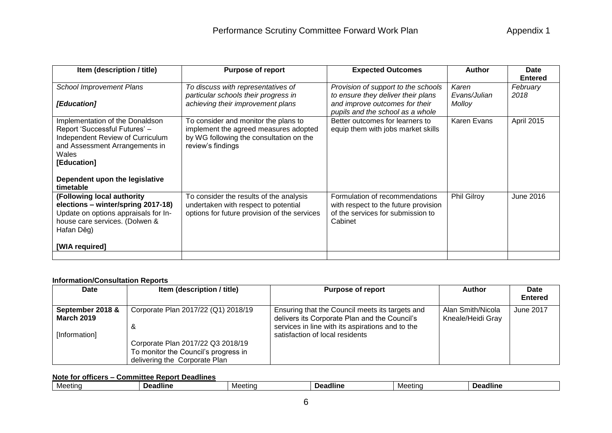| Item (description / title)                                                                                                                                                                                    | <b>Purpose of report</b>                                                                                                                      | <b>Expected Outcomes</b>                                                                                                                        | <b>Author</b>                   | Date                               |
|---------------------------------------------------------------------------------------------------------------------------------------------------------------------------------------------------------------|-----------------------------------------------------------------------------------------------------------------------------------------------|-------------------------------------------------------------------------------------------------------------------------------------------------|---------------------------------|------------------------------------|
| <b>School Improvement Plans</b><br>[Education]                                                                                                                                                                | To discuss with representatives of<br>particular schools their progress in<br>achieving their improvement plans                               | Provision of support to the schools<br>to ensure they deliver their plans<br>and improve outcomes for their<br>pupils and the school as a whole | Karen<br>Evans/Julian<br>Molloy | <b>Entered</b><br>February<br>2018 |
| Implementation of the Donaldson<br>Report 'Successful Futures' -<br>Independent Review of Curriculum<br>and Assessment Arrangements in<br>Wales<br>[Education]<br>Dependent upon the legislative<br>timetable | To consider and monitor the plans to<br>implement the agreed measures adopted<br>by WG following the consultation on the<br>review's findings | Better outcomes for learners to<br>equip them with jobs market skills                                                                           | Karen Evans                     | April 2015                         |
| (Following local authority<br>elections - winter/spring 2017-18)<br>Update on options appraisals for In-<br>house care services. (Dolwen &<br>Hafan Dêg)<br>[WIA required]                                    | To consider the results of the analysis<br>undertaken with respect to potential<br>options for future provision of the services               | Formulation of recommendations<br>with respect to the future provision<br>of the services for submission to<br>Cabinet                          | <b>Phil Gilroy</b>              | June 2016                          |
|                                                                                                                                                                                                               |                                                                                                                                               |                                                                                                                                                 |                                 |                                    |

## **Information/Consultation Reports**

| <b>Date</b>                                            | Item (description / title)                                                                                                                             | <b>Purpose of report</b>                                                                                                                                                                | <b>Author</b>                          | Date<br><b>Entered</b> |
|--------------------------------------------------------|--------------------------------------------------------------------------------------------------------------------------------------------------------|-----------------------------------------------------------------------------------------------------------------------------------------------------------------------------------------|----------------------------------------|------------------------|
| September 2018 &<br><b>March 2019</b><br>[Information] | Corporate Plan 2017/22 (Q1) 2018/19<br>&<br>Corporate Plan 2017/22 Q3 2018/19<br>To monitor the Council's progress in<br>delivering the Corporate Plan | Ensuring that the Council meets its targets and<br>delivers its Corporate Plan and the Council's<br>services in line with its aspirations and to the<br>satisfaction of local residents | Alan Smith/Nicola<br>Kneale/Heidi Gray | June 2017              |

## **Note for officers – Committee Report Deadlines**

| Meetino | ⊶adline | Meetina | adline<br>: מנ | Meetino | ∠eadline<br>10^ |
|---------|---------|---------|----------------|---------|-----------------|